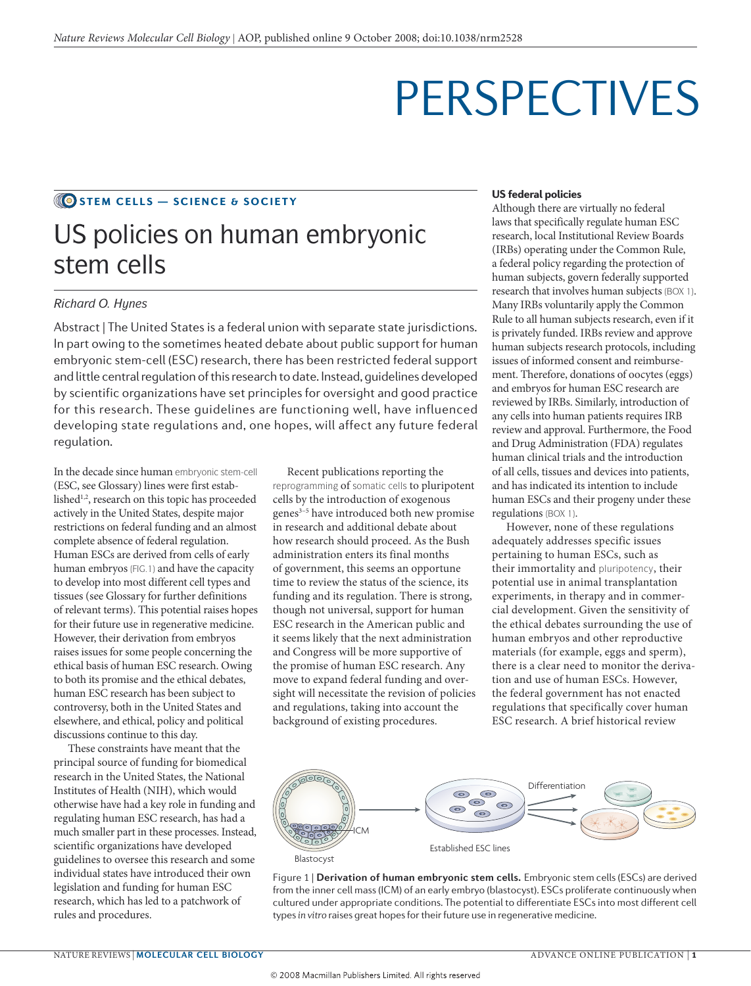# PERSPECTIVES

## $\mathbb{Z}$  STEM CELLS  $-$  SCIENCE & SOCIETY

# US policies on human embryonic stem cells

#### *Richard O. Hynes*

Abstract | The United States is a federal union with separate state jurisdictions. In part owing to the sometimes heated debate about public support for human embryonic stem-cell (ESC) research, there has been restricted federal support and little central regulation of this research to date. Instead, guidelines developed by scientific organizations have set principles for oversight and good practice for this research. These guidelines are functioning well, have influenced developing state regulations and, one hopes, will affect any future federal regulation.

In the decade since human embryonic stem-cell (ESC, see Glossary) lines were first established<sup>1,2</sup>, research on this topic has proceeded actively in the United States, despite major restrictions on federal funding and an almost complete absence of federal regulation. Human ESCs are derived from cells of early human embryos (FIG.1) and have the capacity to develop into most different cell types and tissues (see Glossary for further definitions of relevant terms). This potential raises hopes for their future use in regenerative medicine. However, their derivation from embryos raises issues for some people concerning the ethical basis of human ESC research. Owing to both its promise and the ethical debates, human ESC research has been subject to controversy, both in the United States and elsewhere, and ethical, policy and political discussions continue to this day.

These constraints have meant that the principal source of funding for biomedical research in the United States, the National Institutes of Health (NIH), which would otherwise have had a key role in funding and regulating human ESC research, has had a much smaller part in these processes. Instead, scientific organizations have developed guidelines to oversee this research and some individual states have introduced their own legislation and funding for human ESC research, which has led to a patchwork of rules and procedures.

Recent publications reporting the reprogramming of somatic cells to pluripotent cells by the introduction of exogenous genes<sup>3-5</sup> have introduced both new promise in research and additional debate about how research should proceed. As the Bush administration enters its final months of government, this seems an opportune time to review the status of the science, its funding and its regulation. There is strong, though not universal, support for human ESC research in the American public and it seems likely that the next administration and Congress will be more supportive of the promise of human ESC research. Any move to expand federal funding and oversight will necessitate the revision of policies and regulations, taking into account the background of existing procedures.

#### US federal policies

Although there are virtually no federal laws that specifically regulate human ESC research, local Institutional Review Boards (IRBs) operating under the Common Rule, a federal policy regarding the protection of human subjects, govern federally supported research that involves human subjects (BOX 1). Many IRBs voluntarily apply the Common Rule to all human subjects research, even if it is privately funded. IRBs review and approve human subjects research protocols, including issues of informed consent and reimbursement. Therefore, donations of oocytes (eggs) and embryos for human ESC research are reviewed by IRBs. Similarly, introduction of any cells into human patients requires IRB review and approval. Furthermore, the Food and Drug Administration (FDA) regulates human clinical trials and the introduction of all cells, tissues and devices into patients, and has indicated its intention to include human ESCs and their progeny under these regulations (BOX 1).

However, none of these regulations adequately addresses specific issues pertaining to human ESCs, such as their immortality and pluripotency, their potential use in animal transplantation experiments, in therapy and in commercial development. Given the sensitivity of the ethical debates surrounding the use of human embryos and other reproductive materials (for example, eggs and sperm), there is a clear need to monitor the derivation and use of human ESCs. However, the federal government has not enacted regulations that specifically cover human ESC research. A brief historical review



from the inner cell mass (ICM) of an early embryo (blastocyst). ESCs proliferate continuously when Figure 1 | **Derivation of human embryonic stem cells.** Embryonic stem cells(ESCs) are derived cultured under appropriate conditions. The potential to differentiate ESCsinto most different cell types in vitro raises great hopes for their future use in regenerative medicine.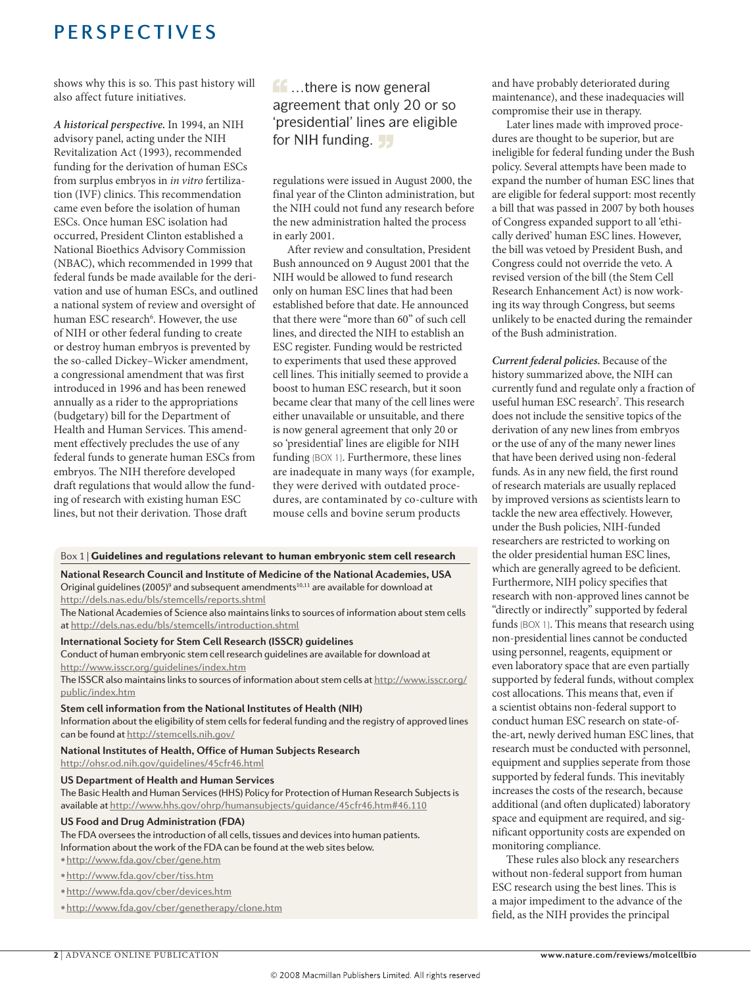# **PFRSPECTIVES**

shows why this is so. This past history will also affect future initiatives.

**A historical perspective.** In 1994, an NIH advisory panel, acting under the NIH Revitalization Act (1993), recommended funding for the derivation of human ESCs from surplus embryos in in vitro fertilization (IVF) clinics. This recommendation came even before the isolation of human ESCs. Once human ESC isolation had occurred, President Clinton established a National Bioethics Advisory Commission (NBAC), which recommended in 1999 that federal funds be made available for the derivation and use of human ESCs, and outlined a national system of review and oversight of human ESC research<sup>6</sup>. However, the use of NIH or other federal funding to create or destroy human embryos is prevented by the so-called Dickey–Wicker amendment, a congressional amendment that was first introduced in 1996 and has been renewed annually as a rider to the appropriations (budgetary) bill for the Department of Health and Human Services. This amendment effectively precludes the use of any federal funds to generate human ESCs from embryos. The NIH therefore developed draft regulations that would allow the funding of research with existing human ESC lines, but not their derivation. Those draft

#### **fo** ... there is now general agreement that only 20 or so 'presidential' lines are eligible for NIH funding. **J**

regulations were issued in August 2000, the final year of the Clinton administration, but the NIH could not fund any research before the new administration halted the process in early 2001.

After review and consultation, President Bush announced on 9 August 2001 that the NIH would be allowed to fund research only on human ESC lines that had been established before that date. He announced that there were "more than 60" of such cell lines, and directed the NIH to establish an ESC register. Funding would be restricted to experiments that used these approved cell lines. This initially seemed to provide a boost to human ESC research, but it soon became clear that many of the cell lines were either unavailable or unsuitable, and there is now general agreement that only 20 or so 'presidential' lines are eligible for NIH funding (BOX 1). Furthermore, these lines are inadequate in many ways (for example, they were derived with outdated procedures, are contaminated by co-culture with mouse cells and bovine serum products

#### Box 1 | Guidelines and regulations relevant to human embryonic stem cell research

**National Research Council and Institute of Medicine of the National Academies, USA** Original guidelines (2005)<sup>9</sup> and subsequent amendments<sup>10,11</sup> are available for download at <http://dels.nas.edu/bls/stemcells/reports.shtml>

The National Academies of Science also maintains links to sources of information about stem cells at <http://dels.nas.edu/bls/stemcells/introduction.shtml>

#### **International Society for Stem Cell Research (ISSCR) guidelines**

Conduct of human embryonic stem cell research guidelines are available for download at <http://www.isscr.org/guidelines/index.htm>

The ISSCR also maintainslinksto sources of information aboutstem cells at [http://www.isscr.org/](http://www.isscr.org/public/index.htm) [public/index.htm](http://www.isscr.org/public/index.htm)

**Stem cell information from the National Institutes of Health (NIH)** Information about the eligibility of stem cells for federal funding and the registry of approved lines can be found at <http://stemcells.nih.gov/>

**National Institutes of Health, Office of Human Subjects Research** <http://ohsr.od.nih.gov/guidelines/45cfr46.html>

**US Department of Health and Human Services** The Basic Health and Human Services (HHS) Policy for Protection of Human Research Subjects is available at <http://www.hhs.gov/ohrp/humansubjects/guidance/45cfr46.htm#46.110>

#### **US Food and Drug Administration (FDA)**

The FDA oversees the introduction of all cells, tissues and devices into human patients. Information about the work of the FDA can be found at the web sites below. •<http://www.fda.gov/cber/gene.htm>

•<http://www.fda.gov/cber/tiss.htm>

•<http://www.fda.gov/cber/devices.htm>

•<http://www.fda.gov/cber/genetherapy/clone.htm>

and have probably deteriorated during maintenance), and these inadequacies will compromise their use in therapy.

Later lines made with improved procedures are thought to be superior, but are ineligible for federal funding under the Bush policy. Several attempts have been made to expand the number of human ESC lines that are eligible for federal support: most recently a bill that was passed in 2007 by both houses of Congress expanded support to all 'ethically derived' human ESC lines. However, the bill was vetoed by President Bush, and Congress could not override the veto. A revised version of the bill (the Stem Cell Research Enhancement Act) is now working its way through Congress, but seems unlikely to be enacted during the remainder of the Bush administration.

**Current federal policies.** Because of the history summarized above, the NIH can currently fund and regulate only a fraction of useful human ESC research<sup>7</sup>. This research does not include the sensitive topics of the derivation of any new lines from embryos or the use of any of the many newer lines that have been derived using non-federal funds. As in any new field, the first round of research materials are usually replaced by improved versions as scientists learn to tackle the new area effectively. However, under the Bush policies, NIH-funded researchers are restricted to working on the older presidential human ESC lines, which are generally agreed to be deficient. Furthermore, NIH policy specifies that research with non-approved lines cannot be "directly or indirectly" supported by federal funds (BOX 1). This means that research using non-presidential lines cannot be conducted using personnel, reagents, equipment or even laboratory space that are even partially supported by federal funds, without complex cost allocations. This means that, even if a scientist obtains non-federal support to conduct human ESC research on state-ofthe-art, newly derived human ESC lines, that research must be conducted with personnel, equipment and supplies seperate from those supported by federal funds. This inevitably increases the costs of the research, because additional (and often duplicated) laboratory space and equipment are required, and significant opportunity costs are expended on monitoring compliance.

These rules also block any researchers without non-federal support from human ESC research using the best lines. This is a major impediment to the advance of the field, as the NIH provides the principal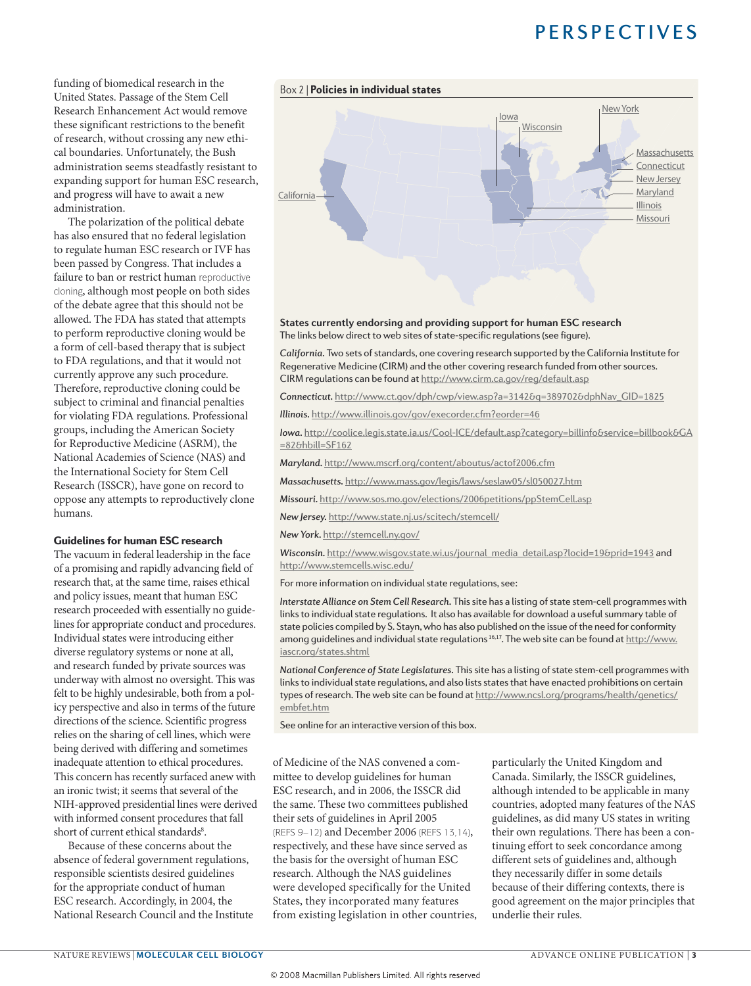# **P F R S P E C T I V E S**

funding of biomedical research in the United States. Passage of the Stem Cell Research Enhancement Act would remove these significant restrictions to the benefit of research, without crossing any new ethical boundaries. Unfortunately, the Bush administration seems steadfastly resistant to expanding support for human ESC research, and progress will have to await a new administration.

The polarization of the political debate has also ensured that no federal legislation to regulate human ESC research or IVF has been passed by Congress. That includes a failure to ban or restrict human reproductive cloning, although most people on both sides of the debate agree that this should not be allowed. The FDA has stated that attempts to perform reproductive cloning would be a form of cell-based therapy that is subject to FDA regulations, and that it would not currently approve any such procedure. Therefore, reproductive cloning could be subject to criminal and financial penalties for violating FDA regulations. Professional groups, including the American Society for Reproductive Medicine (ASRM), the National Academies of Science (NAS) and the International Society for Stem Cell Research (ISSCR), have gone on record to oppose any attempts to reproductively clone humans.

#### Guidelines for human ESC research

The vacuum in federal leadership in the face of a promising and rapidly advancing field of research that, at the same time, raises ethical and policy issues, meant that human ESC research proceeded with essentially no guidelines for appropriate conduct and procedures. Individual states were introducing either diverse regulatory systems or none at all, and research funded by private sources was underway with almost no oversight. This was felt to be highly undesirable, both from a policy perspective and also in terms of the future directions of the science. Scientific progress relies on the sharing of cell lines, which were being derived with differing and sometimes inadequate attention to ethical procedures. This concern has recently surfaced anew with an ironic twist; it seems that several of the NIH-approved presidential lines were derived with informed consent procedures that fall short of current ethical standards<sup>8</sup>.

Because of these concerns about the absence of federal government regulations, responsible scientists desired guidelines for the appropriate conduct of human ESC research. Accordingly, in 2004, the National Research Council and the Institute



The links below direct to web sites of state-specific regulations (see figure). **States currently endorsing and providing support for human ESC research**

California. Two sets of standards, one covering research supported by the California Institute for Regenerative Medicine (CIRM) and the other covering research funded from other sources. CIRM regulations can be found at <http://www.cirm.ca.gov/reg/default.asp>

*Connecticut.* [http://www.ct.gov/dph/cwp/view.asp?a=3142&q=389702&dphNav\\_GID=1825](http://www.ct.gov/dph/cwp/view.asp?a=3142&q=389702&dphNav_GID=1825)

*Illinois.* <http://www.illinois.gov/gov/execorder.cfm?eorder=46>

*Iowa.* [http://coolice.legis.state.ia.us/Cool-ICE/default.asp?category=billinfo&service=billbook&GA](http://coolice.legis.state.ia.us/Cool-ICE/default.asp?category=billinfo&service=billbook&GA=82&hbill=SF162)  $=826$ hbill=SF162

*Maryland.* <http://www.mscrf.org/content/aboutus/actof2006.cfm>

*Massachusetts.* <http://www.mass.gov/legis/laws/seslaw05/sl050027.htm>

*Missouri.* <http://www.sos.mo.gov/elections/2006petitions/ppStemCell.asp>

*New Jersey.* <http://www.state.nj.us/scitech/stemcell/>

*New York.* <http://stemcell.ny.gov/>

*Wisconsin.* [http://www.wisgov.state.wi.us/journal\\_media\\_detail.asp?locid=19&prid=1943](http://www.wisgov.state.wi.us/journal_media_detail.asp?locid=19&prid=1943) and <http://www.stemcells.wisc.edu/>

For more information on individual state regulations, see:

*Interstate Alliance on Stem Cell Research.* Thissite has a listing ofstate stem-cell programmes with links to individual state regulations. It also has available for download a useful summary table of state policies compiled by S. Stayn, who has also published on the issue of the need for conformity among guidelines and individual state regulations <sup>16,17</sup>. The web site can be found at [http://www.](http://www.iascr.org/states.shtml) [iascr.org/states.shtml](http://www.iascr.org/states.shtml)

*National Conference of State Legislatures.* Thissite has a listing ofstate stem-cell programmes with links to individual state regulations, and also lists states that have enacted prohibitions on certain types ofresearch. The web site can be found at [http://www.ncsl.org/programs/health/genetics/](http://www.ncsl.org/programs/health/genetics/embfet.htm) [embfet.htm](http://www.ncsl.org/programs/health/genetics/embfet.htm)

See online for an interactive version of this box.

of Medicine of the NAS convened a committee to develop guidelines for human ESC research, and in 2006, the ISSCR did the same. These two committees published their sets of guidelines in April 2005 (REFS 9–12) and December 2006 (REFS 13,14), respectively, and these have since served as the basis for the oversight of human ESC research. Although the NAS guidelines were developed specifically for the United States, they incorporated many features from existing legislation in other countries,

particularly the United Kingdom and Canada. Similarly, the ISSCR guidelines, although intended to be applicable in many countries, adopted many features of the NAS guidelines, as did many US states in writing their own regulations. There has been a continuing effort to seek concordance among different sets of guidelines and, although they necessarily differ in some details because of their differing contexts, there is good agreement on the major principles that underlie their rules.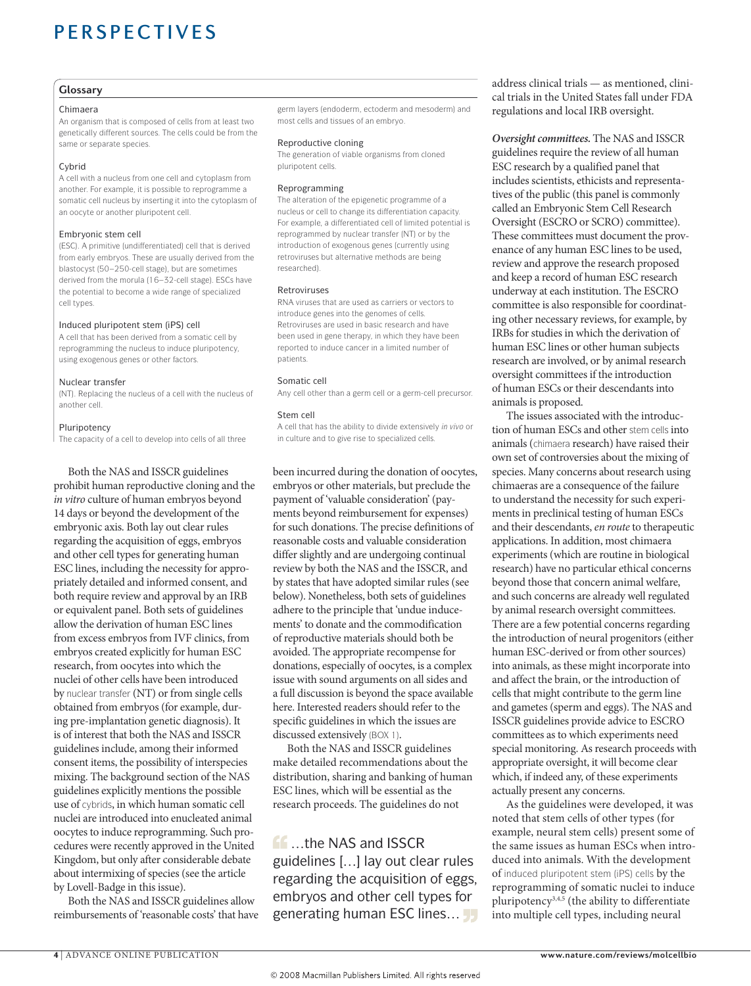# **PFRSPECTIVES**

#### **Glossary**

#### Chimaera

An organism that is composed of cells from at least two genetically different sources. The cells could be from the same or separate species.

#### Cybrid

A cell with a nucleus from one cell and cytoplasm from another. For example, it is possible to reprogramme a somatic cell nucleus by inserting it into the cytoplasm of an oocyte or another pluripotent cell.

#### Embryonic stem cell

(ESC). A primitive (undifferentiated) cell that is derived from early embryos. These are usually derived from the blastocyst (50–250-cell stage), but are sometimes derived from the morula (16–32-cell stage). ESCs have the potential to become a wide range of specialized cell types.

#### Induced pluripotent stem (iPS) cell

A cell that has been derived from a somatic cell by reprogramming the nucleus to induce pluripotency, using exogenous genes or other factors.

#### Nuclear transfer

(NT). Replacing the nucleus of a cell with the nucleus of another cell.

#### Pluripotency

The capacity of a cell to develop into cells of all three

Both the NAS and ISSCR guidelines prohibit human reproductive cloning and the in vitro culture of human embryos beyond 14 days or beyond the development of the embryonic axis. Both lay out clear rules regarding the acquisition of eggs, embryos and other cell types for generating human ESC lines, including the necessity for appropriately detailed and informed consent, and both require review and approval by an IRB or equivalent panel. Both sets of guidelines allow the derivation of human ESC lines from excess embryos from IVF clinics, from embryos created explicitly for human ESC research, from oocytes into which the nuclei of other cells have been introduced by nuclear transfer (NT) or from single cells obtained from embryos (for example, during pre-implantation genetic diagnosis). It is of interest that both the NAS and ISSCR guidelines include, among their informed consent items, the possibility of interspecies mixing. The background section of the NAS guidelines explicitly mentions the possible use of cybrids, in which human somatic cell nuclei are introduced into enucleated animal oocytes to induce reprogramming. Such procedures were recently approved in the United Kingdom, but only after considerable debate about intermixing of species (see the article by Lovell-Badge in this issue).

Both the NAS and ISSCR guidelines allow reimbursements of 'reasonable costs' that have germ layers (endoderm, ectoderm and mesoderm) and most cells and tissues of an embryo.

#### Reproductive cloning

The generation of viable organisms from cloned pluripotent cells.

#### Reprogramming

The alteration of the epigenetic programme of a nucleus or cell to change its differentiation capacity. For example, a differentiated cell of limited potential is reprogrammed by nuclear transfer (NT) or by the introduction of exogenous genes (currently using retroviruses but alternative methods are being researched).

#### Retroviruses

RNA viruses that are used as carriers or vectors to introduce genes into the genomes of cells. Retroviruses are used in basic research and have been used in gene therapy, in which they have been reported to induce cancer in a limited number of patients.

#### Somatic cell

Any cell other than a germ cell or a germ-cell precursor.

#### Stem cell

A cell that has the ability to divide extensively *in vivo* or in culture and to give rise to specialized cells.

been incurred during the donation of oocytes, embryos or other materials, but preclude the payment of 'valuable consideration' (payments beyond reimbursement for expenses) for such donations. The precise definitions of reasonable costs and valuable consideration differ slightly and are undergoing continual review by both the NAS and the ISSCR, and by states that have adopted similar rules (see below). Nonetheless, both sets of guidelines adhere to the principle that 'undue inducements' to donate and the commodification of reproductive materials should both be avoided. The appropriate recompense for donations, especially of oocytes, is a complex issue with sound arguments on all sides and a full discussion is beyond the space available here. Interested readers should refer to the specific guidelines in which the issues are discussed extensively (BOX 1).

Both the NAS and ISSCR guidelines make detailed recommendations about the distribution, sharing and banking of human ESC lines, which will be essential as the research proceeds. The guidelines do not

#### **ff** ...the NAS and ISSCR

guidelines […] lay out clear rules regarding the acquisition of eggs, embryos and other cell types for generating human ESC lines… address clinical trials — as mentioned, clinical trials in the United States fall under FDA regulations and local IRB oversight.

**Oversight committees.** The NAS and ISSCR guidelines require the review of all human ESC research by a qualified panel that includes scientists, ethicists and representatives of the public (this panel is commonly called an Embryonic Stem Cell Research Oversight (ESCRO or SCRO) committee). These committees must document the provenance of any human ESC lines to be used, review and approve the research proposed and keep a record of human ESC research underway at each institution. The ESCRO committee is also responsible for coordinating other necessary reviews, for example, by IRBs for studies in which the derivation of human ESC lines or other human subjects research are involved, or by animal research oversight committees if the introduction of human ESCs or their descendants into animals is proposed.

The issues associated with the introduction of human ESCs and other stem cells into animals (chimaera research) have raised their own set of controversies about the mixing of species. Many concerns about research using chimaeras are a consequence of the failure to understand the necessity for such experiments in preclinical testing of human ESCs and their descendants, en route to therapeutic applications. In addition, most chimaera experiments (which are routine in biological research) have no particular ethical concerns beyond those that concern animal welfare, and such concerns are already well regulated by animal research oversight committees. There are a few potential concerns regarding the introduction of neural progenitors (either human ESC-derived or from other sources) into animals, as these might incorporate into and affect the brain, or the introduction of cells that might contribute to the germ line and gametes (sperm and eggs). The NAS and ISSCR guidelines provide advice to ESCRO committees as to which experiments need special monitoring. As research proceeds with appropriate oversight, it will become clear which, if indeed any, of these experiments actually present any concerns.

As the guidelines were developed, it was noted that stem cells of other types (for example, neural stem cells) present some of the same issues as human ESCs when introduced into animals. With the development of induced pluripotent stem (iPS) cells by the reprogramming of somatic nuclei to induce pluripotency3,4,5 (the ability to differentiate into multiple cell types, including neural